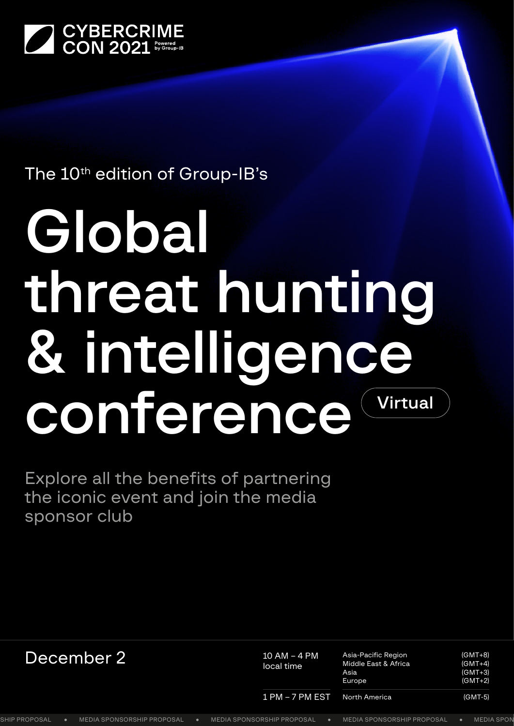

# The 10<sup>th</sup> edition of Group-IB's

# Global threat hunting & intelligence conference Virtual

Explore all the benefits of partnering the iconic event and join the media sponsor club

| December 2           |  |                                   | $10$ AM – 4 PM<br>local time | Asia-Pacific Region<br>Middle East & Africa<br>Asia<br>Europe | $(GMT+8)$<br>$(GMT+4)$<br>$(GMT+3)$<br>$(GMT+2)$ |                   |
|----------------------|--|-----------------------------------|------------------------------|---------------------------------------------------------------|--------------------------------------------------|-------------------|
|                      |  |                                   |                              | $1$ PM $-7$ PM EST                                            | North America                                    | $(GMT-5)$         |
| <b>SHIP PROPOSAL</b> |  | <b>MEDIA SPONSORSHIP PROPOSAL</b> |                              | <b>MEDIA SPONSORSHIP PROPOSAL</b>                             | <b>MEDIA SPONSORSHIP PROPOSAL</b>                | <b>MEDIA SPON</b> |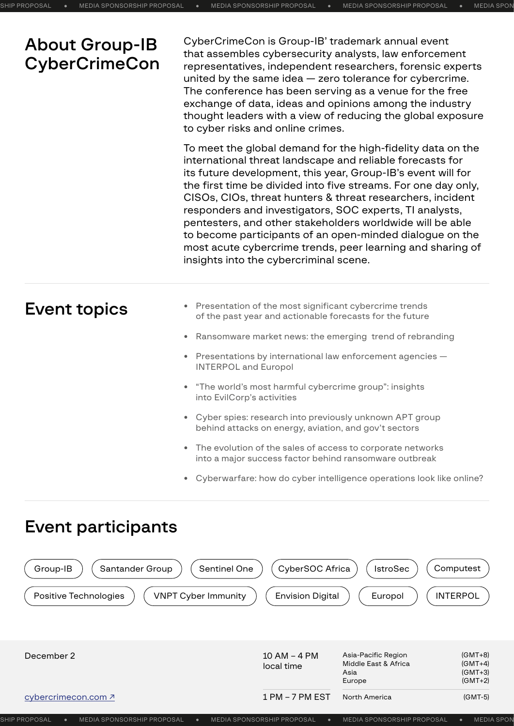# About Group-IB **CyberCrimeCon**

CyberCrimeCon is Group-IB' trademark annual event that assembles cybersecurity analysts, law enforcement representatives, independent researchers, forensic experts united by the same idea — zero tolerance for cybercrime. The conference has been serving as a venue for the free exchange of data, ideas and opinions among the industry thought leaders with a view of reducing the global exposure to cyber risks and online crimes.

To meet the global demand for the high-fidelity data on the international threat landscape and reliable forecasts for its future development, this year, Group-IB's event will for the first time be divided into five streams. For one day only, CISOs, CIOs, threat hunters & threat researchers, incident responders and investigators, SOC experts, TI analysts, pentesters, and other stakeholders worldwide will be able to become participants of an open-minded dialogue on the most acute cybercrime trends, peer learning and sharing of insights into the cybercriminal scene.

## Event topics

- **•** Presentation of the most significant cybercrime trends of the past year and actionable forecasts for the future
- **•** Ransomware market news: the emerging trend of rebranding
- **•** Presentations by international law enforcement agencies INTERPOL and Europol
- **•** "The world's most harmful cybercrime group": insights into EvilCorp's activities
- **•** Cyber spies: research into previously unknown APT group behind attacks on energy, aviation, and gov't sectors
- **•** The evolution of the sales of access to corporate networks into a major success factor behind ransomware outbreak
- **•** Cyberwarfare: how do cyber intelligence operations look like online?

### Event participants

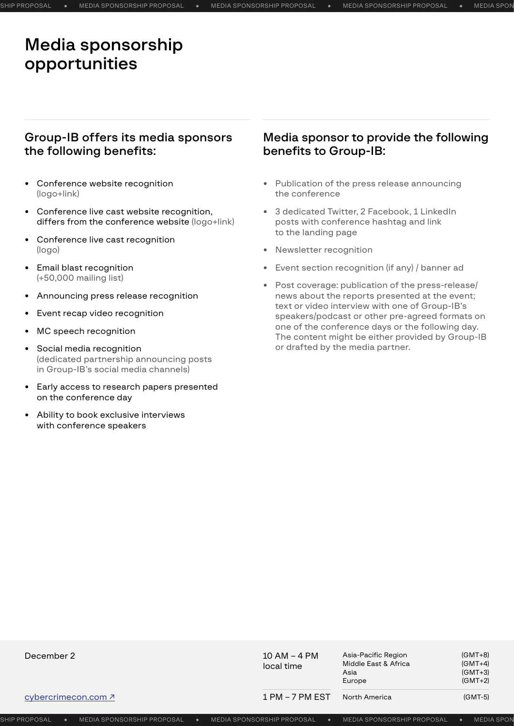# Media sponsorship opportunities

#### Group-IB offers its media sponsors the following benefits:

- **•** Conference website recognition (logo+link)
- **•** Conference live cast website recognition, differs from the conference website (logo+link)
- **•** Conference live cast recognition (logo)
- **•** Email blast recognition (+50,000 mailing list)
- **•** Announcing press release recognition
- **•** Event recap video recognition
- **•** MC speech recognition
- **•** Social media recognition (dedicated partnership announcing posts in Group-IB's social media channels)
- **•** Early access to research papers presented on the conference day
- **•** Ability to book exclusive interviews with conference speakers

#### Media sponsor to provide the following benefits to Group-IB:

- **•** Publication of the press release announcing the conference
- **•** 3 dedicated Twitter, 2 Facebook, 1 LinkedIn posts with conference hashtag and link to the landing page
- **•** Newsletter recognition
- **•** Event section recognition (if any) / banner ad
- **•** Post coverage: publication of the press-release/ news about the reports presented at the event; text or video interview with one of Group-IB's speakers/podcast or other pre-agreed formats on one of the conference days or the following day. The content might be either provided by Group-IB or drafted by the media partner.

| December 2                 | $10$ AM – 4 PM<br>local time | Asia-Pacific Region<br>Middle East & Africa<br>Asia<br>Europe | $(GMT+8)$<br>$(GMT+4)$<br>$(GMT+3)$<br>$(GMT+2)$ |  |
|----------------------------|------------------------------|---------------------------------------------------------------|--------------------------------------------------|--|
| cybercrimecon.com <u>2</u> | $1$ PM $-$ 7 PM EST          | North America                                                 | $(GMT-5)$                                        |  |

MEDIA SPONSORSHIP PROPOSAL MEDIA SPONSORSHIP PROPOSAL MEDIA SPONSORSHIP PROPOSAL MEDIA SPONSORSHIP PROPOSAL MEDIA SPONSORSHIP PROPOSAL